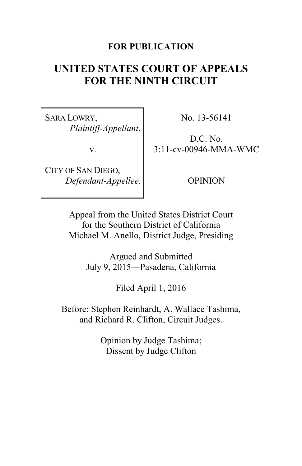### **FOR PUBLICATION**

# **UNITED STATES COURT OF APPEALS FOR THE NINTH CIRCUIT**

SARA LOWRY, *Plaintiff-Appellant*,

v.

CITY OF SAN DIEGO, *Defendant-Appellee*. No. 13-56141

D.C. No. 3:11-cv-00946-MMA-WMC

OPINION

Appeal from the United States District Court for the Southern District of California Michael M. Anello, District Judge, Presiding

> Argued and Submitted July 9, 2015—Pasadena, California

> > Filed April 1, 2016

Before: Stephen Reinhardt, A. Wallace Tashima, and Richard R. Clifton, Circuit Judges.

> Opinion by Judge Tashima; Dissent by Judge Clifton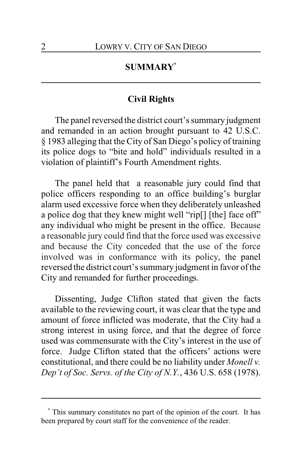# **SUMMARY\***

# **Civil Rights**

The panel reversed the district court's summary judgment and remanded in an action brought pursuant to 42 U.S.C. § 1983 alleging that the City of San Diego's policy of training its police dogs to "bite and hold" individuals resulted in a violation of plaintiff's Fourth Amendment rights.

The panel held that a reasonable jury could find that police officers responding to an office building's burglar alarm used excessive force when they deliberately unleashed a police dog that they knew might well "rip[] [the] face off" any individual who might be present in the office. Because a reasonable jury could find that the force used was excessive and because the City conceded that the use of the force involved was in conformance with its policy, the panel reversed the district court's summary judgment in favor of the City and remanded for further proceedings.

Dissenting, Judge Clifton stated that given the facts available to the reviewing court, it was clear that the type and amount of force inflicted was moderate, that the City had a strong interest in using force, and that the degree of force used was commensurate with the City's interest in the use of force. Judge Clifton stated that the officers' actions were constitutional, and there could be no liability under *Monell v. Dep't of Soc. Servs. of the City of N.Y.*, 436 U.S. 658 (1978).

**<sup>\*</sup>** This summary constitutes no part of the opinion of the court. It has been prepared by court staff for the convenience of the reader.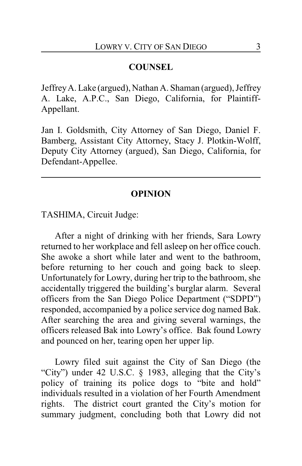#### **COUNSEL**

JeffreyA. Lake (argued), Nathan A. Shaman (argued), Jeffrey A. Lake, A.P.C., San Diego, California, for Plaintiff-Appellant.

Jan I. Goldsmith, City Attorney of San Diego, Daniel F. Bamberg, Assistant City Attorney, Stacy J. Plotkin-Wolff, Deputy City Attorney (argued), San Diego, California, for Defendant-Appellee.

#### **OPINION**

TASHIMA, Circuit Judge:

After a night of drinking with her friends, Sara Lowry returned to her workplace and fell asleep on her office couch. She awoke a short while later and went to the bathroom, before returning to her couch and going back to sleep. Unfortunately for Lowry, during her trip to the bathroom, she accidentally triggered the building's burglar alarm. Several officers from the San Diego Police Department ("SDPD") responded, accompanied by a police service dog named Bak. After searching the area and giving several warnings, the officers released Bak into Lowry's office. Bak found Lowry and pounced on her, tearing open her upper lip.

Lowry filed suit against the City of San Diego (the "City") under 42 U.S.C. § 1983, alleging that the City's policy of training its police dogs to "bite and hold" individuals resulted in a violation of her Fourth Amendment rights. The district court granted the City's motion for summary judgment, concluding both that Lowry did not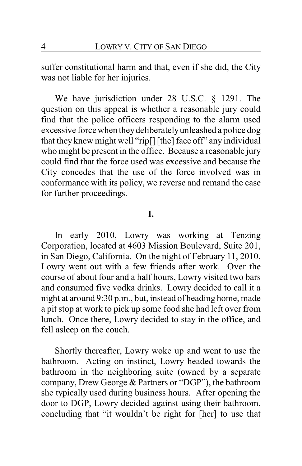suffer constitutional harm and that, even if she did, the City was not liable for her injuries.

We have jurisdiction under 28 U.S.C. § 1291. The question on this appeal is whether a reasonable jury could find that the police officers responding to the alarm used excessive force when theydeliberatelyunleashed a police dog that they knew might well "rip[] [the] face off" any individual who might be present in the office. Because a reasonable jury could find that the force used was excessive and because the City concedes that the use of the force involved was in conformance with its policy, we reverse and remand the case for further proceedings.

### **I.**

In early 2010, Lowry was working at Tenzing Corporation, located at 4603 Mission Boulevard, Suite 201, in San Diego, California. On the night of February 11, 2010, Lowry went out with a few friends after work. Over the course of about four and a half hours, Lowry visited two bars and consumed five vodka drinks. Lowry decided to call it a night at around 9:30 p.m., but, instead of heading home, made a pit stop at work to pick up some food she had left over from lunch. Once there, Lowry decided to stay in the office, and fell asleep on the couch.

Shortly thereafter, Lowry woke up and went to use the bathroom. Acting on instinct, Lowry headed towards the bathroom in the neighboring suite (owned by a separate company, Drew George & Partners or "DGP"), the bathroom she typically used during business hours. After opening the door to DGP, Lowry decided against using their bathroom, concluding that "it wouldn't be right for [her] to use that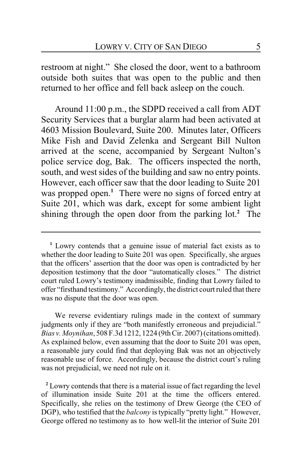restroom at night." She closed the door, went to a bathroom outside both suites that was open to the public and then returned to her office and fell back asleep on the couch.

Around 11:00 p.m., the SDPD received a call from ADT Security Services that a burglar alarm had been activated at 4603 Mission Boulevard, Suite 200. Minutes later, Officers Mike Fish and David Zelenka and Sergeant Bill Nulton arrived at the scene, accompanied by Sergeant Nulton's police service dog, Bak. The officers inspected the north, south, and west sides of the building and saw no entry points. However, each officer saw that the door leading to Suite 201 was propped open.<sup>1</sup> There were no signs of forced entry at Suite 201, which was dark, except for some ambient light shining through the open door from the parking lot.**<sup>2</sup>** The

We reverse evidentiary rulings made in the context of summary judgments only if they are "both manifestly erroneous and prejudicial." *Bias v. Moynihan*, 508 F.3d 1212, 1224 (9thCir. 2007) (citations omitted). As explained below, even assuming that the door to Suite 201 was open, a reasonable jury could find that deploying Bak was not an objectively reasonable use of force. Accordingly, because the district court's ruling was not prejudicial, we need not rule on it.

**<sup>2</sup>** Lowry contends that there is a material issue of fact regarding the level of illumination inside Suite 201 at the time the officers entered. Specifically, she relies on the testimony of Drew George (the CEO of DGP), who testified that the *balcony* is typically "pretty light." However, George offered no testimony as to how well-lit the interior of Suite 201

**<sup>1</sup>** Lowry contends that a genuine issue of material fact exists as to whether the door leading to Suite 201 was open. Specifically, she argues that the officers' assertion that the door was open is contradicted by her deposition testimony that the door "automatically closes." The district court ruled Lowry's testimony inadmissible, finding that Lowry failed to offer "firsthand testimony." Accordingly, the district court ruled that there was no dispute that the door was open.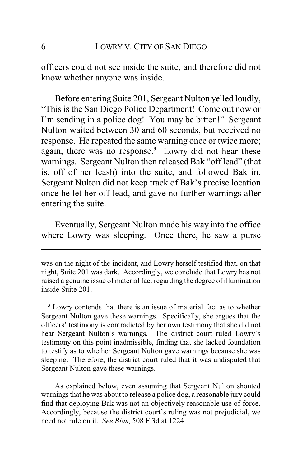officers could not see inside the suite, and therefore did not know whether anyone was inside.

Before entering Suite 201, Sergeant Nulton yelled loudly, "This is the San Diego Police Department! Come out now or I'm sending in a police dog! You may be bitten!" Sergeant Nulton waited between 30 and 60 seconds, but received no response. He repeated the same warning once or twice more; again, there was no response.**<sup>3</sup>** Lowry did not hear these warnings. Sergeant Nulton then released Bak "off lead" (that is, off of her leash) into the suite, and followed Bak in. Sergeant Nulton did not keep track of Bak's precise location once he let her off lead, and gave no further warnings after entering the suite.

Eventually, Sergeant Nulton made his way into the office where Lowry was sleeping. Once there, he saw a purse

**<sup>3</sup>** Lowry contends that there is an issue of material fact as to whether Sergeant Nulton gave these warnings. Specifically, she argues that the officers' testimony is contradicted by her own testimony that she did not hear Sergeant Nulton's warnings. The district court ruled Lowry's testimony on this point inadmissible, finding that she lacked foundation to testify as to whether Sergeant Nulton gave warnings because she was sleeping. Therefore, the district court ruled that it was undisputed that Sergeant Nulton gave these warnings.

As explained below, even assuming that Sergeant Nulton shouted warnings that he was about to release a police dog, a reasonable jury could find that deploying Bak was not an objectively reasonable use of force. Accordingly, because the district court's ruling was not prejudicial, we need not rule on it. *See Bias*, 508 F.3d at 1224.

was on the night of the incident, and Lowry herself testified that, on that night, Suite 201 was dark. Accordingly, we conclude that Lowry has not raised a genuine issue of material fact regarding the degree ofillumination inside Suite 201.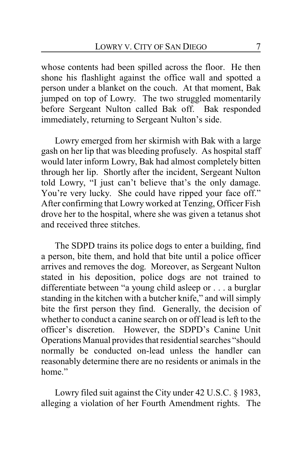whose contents had been spilled across the floor. He then shone his flashlight against the office wall and spotted a person under a blanket on the couch. At that moment, Bak jumped on top of Lowry. The two struggled momentarily before Sergeant Nulton called Bak off. Bak responded immediately, returning to Sergeant Nulton's side.

Lowry emerged from her skirmish with Bak with a large gash on her lip that was bleeding profusely. As hospital staff would later inform Lowry, Bak had almost completely bitten through her lip. Shortly after the incident, Sergeant Nulton told Lowry, "I just can't believe that's the only damage. You're very lucky. She could have ripped your face off." After confirming that Lowry worked at Tenzing, Officer Fish drove her to the hospital, where she was given a tetanus shot and received three stitches.

The SDPD trains its police dogs to enter a building, find a person, bite them, and hold that bite until a police officer arrives and removes the dog. Moreover, as Sergeant Nulton stated in his deposition, police dogs are not trained to differentiate between "a young child asleep or . . . a burglar standing in the kitchen with a butcher knife," and will simply bite the first person they find. Generally, the decision of whether to conduct a canine search on or off lead is left to the officer's discretion. However, the SDPD's Canine Unit Operations Manual provides that residential searches "should normally be conducted on-lead unless the handler can reasonably determine there are no residents or animals in the home"

Lowry filed suit against the City under 42 U.S.C. § 1983, alleging a violation of her Fourth Amendment rights. The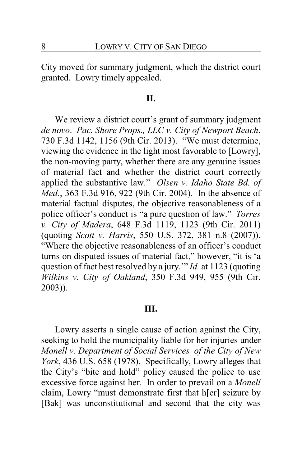City moved for summary judgment, which the district court granted. Lowry timely appealed.

#### **II.**

We review a district court's grant of summary judgment *de novo*. *Pac. Shore Props., LLC v. City of Newport Beach*, 730 F.3d 1142, 1156 (9th Cir. 2013). "We must determine, viewing the evidence in the light most favorable to [Lowry], the non-moving party, whether there are any genuine issues of material fact and whether the district court correctly applied the substantive law." *Olsen v. Idaho State Bd. of Med.*, 363 F.3d 916, 922 (9th Cir. 2004). In the absence of material factual disputes, the objective reasonableness of a police officer's conduct is "a pure question of law." *Torres v. City of Madera*, 648 F.3d 1119, 1123 (9th Cir. 2011) (quoting *Scott v. Harris*, 550 U.S. 372, 381 n.8 (2007)). "Where the objective reasonableness of an officer's conduct turns on disputed issues of material fact," however, "it is 'a question of fact best resolved by a jury.'" *Id.* at 1123 (quoting *Wilkins v. City of Oakland*, 350 F.3d 949, 955 (9th Cir. 2003)).

#### **III.**

Lowry asserts a single cause of action against the City, seeking to hold the municipality liable for her injuries under *Monell v. Department of Social Services of the City of New York*, 436 U.S. 658 (1978). Specifically, Lowry alleges that the City's "bite and hold" policy caused the police to use excessive force against her. In order to prevail on a *Monell* claim, Lowry "must demonstrate first that h[er] seizure by [Bak] was unconstitutional and second that the city was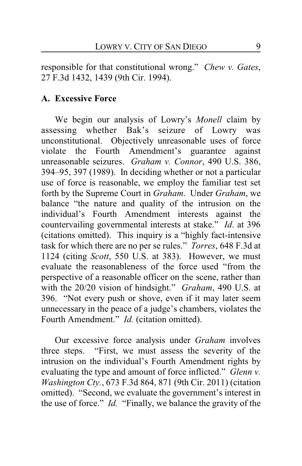responsible for that constitutional wrong." *Chew v. Gates*, 27 F.3d 1432, 1439 (9th Cir. 1994).

### **A. Excessive Force**

We begin our analysis of Lowry's *Monell* claim by assessing whether Bak's seizure of Lowry was unconstitutional. Objectively unreasonable uses of force violate the Fourth Amendment's guarantee against unreasonable seizures. *Graham v. Connor*, 490 U.S. 386, 394–95, 397 (1989). In deciding whether or not a particular use of force is reasonable, we employ the familiar test set forth by the Supreme Court in *Graham*. Under *Graham*, we balance "the nature and quality of the intrusion on the individual's Fourth Amendment interests against the countervailing governmental interests at stake." *Id*. at 396 (citations omitted). This inquiry is a "highly fact-intensive task for which there are no per se rules." *Torres*, 648 F.3d at 1124 (citing *Scott*, 550 U.S. at 383). However, we must evaluate the reasonableness of the force used "from the perspective of a reasonable officer on the scene, rather than with the 20/20 vision of hindsight." *Graham*, 490 U.S. at 396. "Not every push or shove, even if it may later seem unnecessary in the peace of a judge's chambers, violates the Fourth Amendment." *Id.* (citation omitted).

Our excessive force analysis under *Graham* involves three steps. "First, we must assess the severity of the intrusion on the individual's Fourth Amendment rights by evaluating the type and amount of force inflicted." *Glenn v. Washington Cty.*, 673 F.3d 864, 871 (9th Cir. 2011) (citation omitted). "Second, we evaluate the government's interest in the use of force." *Id.* "Finally, we balance the gravity of the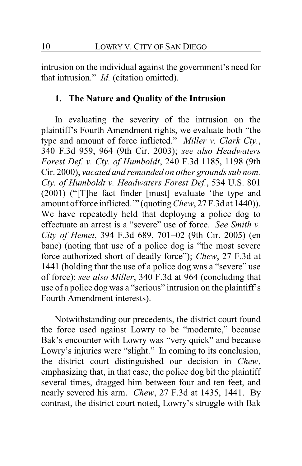intrusion on the individual against the government's need for that intrusion." *Id.* (citation omitted).

## **1. The Nature and Quality of the Intrusion**

In evaluating the severity of the intrusion on the plaintiff's Fourth Amendment rights, we evaluate both "the type and amount of force inflicted." *Miller v. Clark Cty.*, 340 F.3d 959, 964 (9th Cir. 2003); *see also Headwaters Forest Def. v. Cty. of Humboldt*, 240 F.3d 1185, 1198 (9th Cir. 2000), *vacated and remanded on other grounds sub nom. Cty. of Humboldt v. Headwaters Forest Def.*, 534 U.S. 801 (2001) ("[T]he fact finder [must] evaluate 'the type and amount of force inflicted.'" (quoting*Chew*, 27 F.3d at 1440)). We have repeatedly held that deploying a police dog to effectuate an arrest is a "severe" use of force. *See Smith v. City of Hemet*, 394 F.3d 689, 701–02 (9th Cir. 2005) (en banc) (noting that use of a police dog is "the most severe force authorized short of deadly force"); *Chew*, 27 F.3d at 1441 (holding that the use of a police dog was a "severe" use of force); *see also Miller*, 340 F.3d at 964 (concluding that use of a police dog was a "serious" intrusion on the plaintiff's Fourth Amendment interests).

Notwithstanding our precedents, the district court found the force used against Lowry to be "moderate," because Bak's encounter with Lowry was "very quick" and because Lowry's injuries were "slight." In coming to its conclusion, the district court distinguished our decision in *Chew*, emphasizing that, in that case, the police dog bit the plaintiff several times, dragged him between four and ten feet, and nearly severed his arm. *Chew*, 27 F.3d at 1435, 1441. By contrast, the district court noted, Lowry's struggle with Bak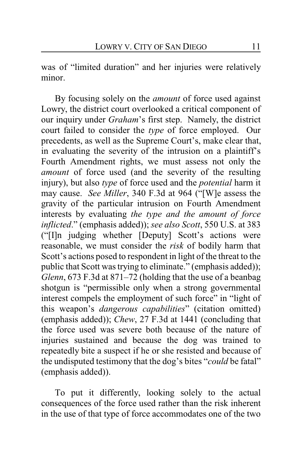was of "limited duration" and her injuries were relatively minor.

By focusing solely on the *amount* of force used against Lowry, the district court overlooked a critical component of our inquiry under *Graham*'s first step. Namely, the district court failed to consider the *type* of force employed. Our precedents, as well as the Supreme Court's, make clear that, in evaluating the severity of the intrusion on a plaintiff's Fourth Amendment rights, we must assess not only the *amount* of force used (and the severity of the resulting injury), but also *type* of force used and the *potential* harm it may cause. *See Miller*, 340 F.3d at 964 ("[W]e assess the gravity of the particular intrusion on Fourth Amendment interests by evaluating *the type and the amount of force inflicted*." (emphasis added)); *see also Scott*, 550 U.S. at 383 ("[I]n judging whether [Deputy] Scott's actions were reasonable, we must consider the *risk* of bodily harm that Scott's actions posed to respondent in light of the threat to the public that Scott was trying to eliminate." (emphasis added)); *Glenn*, 673 F.3d at 871–72 (holding that the use of a beanbag shotgun is "permissible only when a strong governmental interest compels the employment of such force" in "light of this weapon's *dangerous capabilities*" (citation omitted) (emphasis added)); *Chew*, 27 F.3d at 1441 (concluding that the force used was severe both because of the nature of injuries sustained and because the dog was trained to repeatedly bite a suspect if he or she resisted and because of the undisputed testimony that the dog's bites "*could* be fatal" (emphasis added)).

To put it differently, looking solely to the actual consequences of the force used rather than the risk inherent in the use of that type of force accommodates one of the two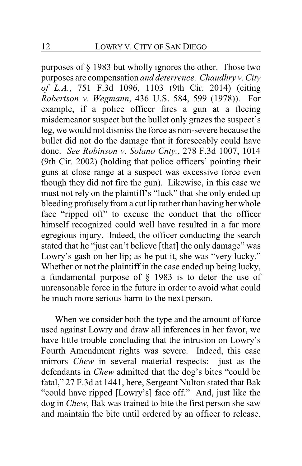purposes of § 1983 but wholly ignores the other. Those two purposes are compensation *and deterrence. Chaudhry v. City of L.A.*, 751 F.3d 1096, 1103 (9th Cir. 2014) (citing *Robertson v. Wegmann*, 436 U.S. 584, 599 (1978)). For example, if a police officer fires a gun at a fleeing misdemeanor suspect but the bullet only grazes the suspect's leg, we would not dismiss the force as non-severe because the bullet did not do the damage that it foreseeably could have done. *See Robinson v. Solano Cnty.*, 278 F.3d 1007, 1014 (9th Cir. 2002) (holding that police officers' pointing their guns at close range at a suspect was excessive force even though they did not fire the gun). Likewise, in this case we must not rely on the plaintiff's "luck" that she only ended up bleeding profusely from a cut lip rather than having her whole face "ripped off" to excuse the conduct that the officer himself recognized could well have resulted in a far more egregious injury. Indeed, the officer conducting the search stated that he "just can't believe [that] the only damage" was Lowry's gash on her lip; as he put it, she was "very lucky." Whether or not the plaintiff in the case ended up being lucky, a fundamental purpose of § 1983 is to deter the use of unreasonable force in the future in order to avoid what could be much more serious harm to the next person.

When we consider both the type and the amount of force used against Lowry and draw all inferences in her favor, we have little trouble concluding that the intrusion on Lowry's Fourth Amendment rights was severe. Indeed, this case mirrors *Chew* in several material respects: just as the defendants in *Chew* admitted that the dog's bites "could be fatal," 27 F.3d at 1441, here, Sergeant Nulton stated that Bak "could have ripped [Lowry's] face off." And, just like the dog in *Chew*, Bak was trained to bite the first person she saw and maintain the bite until ordered by an officer to release.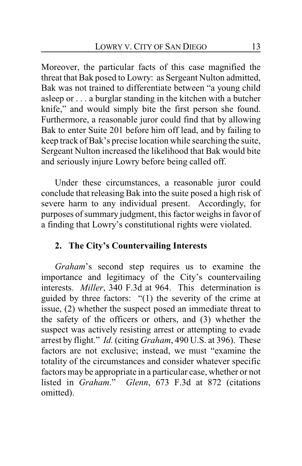Moreover, the particular facts of this case magnified the threat that Bak posed to Lowry: as Sergeant Nulton admitted, Bak was not trained to differentiate between "a young child asleep or . . . a burglar standing in the kitchen with a butcher knife," and would simply bite the first person she found. Furthermore, a reasonable juror could find that by allowing Bak to enter Suite 201 before him off lead, and by failing to keep track of Bak's precise location while searching the suite, Sergeant Nulton increased the likelihood that Bak would bite and seriously injure Lowry before being called off.

Under these circumstances, a reasonable juror could conclude that releasing Bak into the suite posed a high risk of severe harm to any individual present. Accordingly, for purposes of summary judgment, this factor weighs in favor of a finding that Lowry's constitutional rights were violated.

# **2. The City's Countervailing Interests**

*Graham*'s second step requires us to examine the importance and legitimacy of the City's countervailing interests. *Miller*, 340 F.3d at 964. This determination is guided by three factors: "(1) the severity of the crime at issue, (2) whether the suspect posed an immediate threat to the safety of the officers or others, and (3) whether the suspect was actively resisting arrest or attempting to evade arrest by flight." *Id.* (citing *Graham*, 490 U.S. at 396). These factors are not exclusive; instead, we must "examine the totality of the circumstances and consider whatever specific factors may be appropriate in a particular case, whether or not listed in *Graham*." *Glenn*, 673 F.3d at 872 (citations omitted).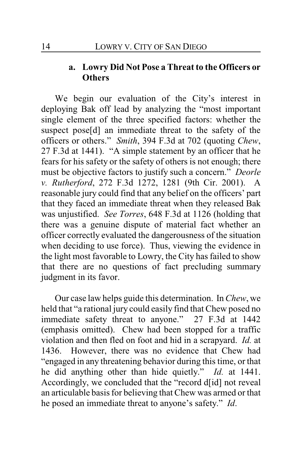# **a. Lowry Did Not Pose a Threat to the Officers or Others**

We begin our evaluation of the City's interest in deploying Bak off lead by analyzing the "most important single element of the three specified factors: whether the suspect pose[d] an immediate threat to the safety of the officers or others." *Smith*, 394 F.3d at 702 (quoting *Chew*, 27 F.3d at 1441). "A simple statement by an officer that he fears for his safety or the safety of others is not enough; there must be objective factors to justify such a concern." *Deorle v. Rutherford*, 272 F.3d 1272, 1281 (9th Cir. 2001). A reasonable jury could find that any belief on the officers' part that they faced an immediate threat when they released Bak was unjustified. *See Torres*, 648 F.3d at 1126 (holding that there was a genuine dispute of material fact whether an officer correctly evaluated the dangerousness of the situation when deciding to use force). Thus, viewing the evidence in the light most favorable to Lowry, the City has failed to show that there are no questions of fact precluding summary judgment in its favor.

Our case law helps guide this determination. In *Chew*, we held that "a rational jury could easily find that Chew posed no immediate safety threat to anyone." 27 F.3d at 1442 (emphasis omitted). Chew had been stopped for a traffic violation and then fled on foot and hid in a scrapyard. *Id.* at 1436. However, there was no evidence that Chew had "engaged in any threatening behavior during this time, or that he did anything other than hide quietly." *Id.* at 1441. Accordingly, we concluded that the "record d[id] not reveal an articulable basis for believing that Chew was armed or that he posed an immediate threat to anyone's safety." *Id*.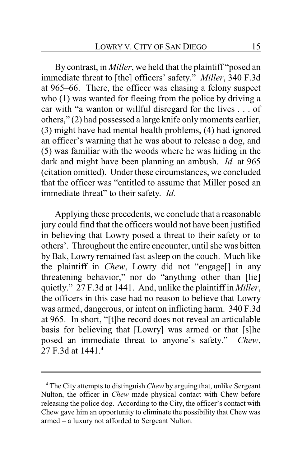By contrast, in *Miller*, we held that the plaintiff "posed an immediate threat to [the] officers' safety." *Miller*, 340 F.3d at 965–66. There, the officer was chasing a felony suspect who (1) was wanted for fleeing from the police by driving a car with "a wanton or willful disregard for the lives . . . of others," (2) had possessed a large knife only moments earlier, (3) might have had mental health problems, (4) had ignored an officer's warning that he was about to release a dog, and (5) was familiar with the woods where he was hiding in the dark and might have been planning an ambush. *Id.* at 965 (citation omitted). Under these circumstances, we concluded that the officer was "entitled to assume that Miller posed an immediate threat" to their safety. *Id.*

Applying these precedents, we conclude that a reasonable jury could find that the officers would not have been justified in believing that Lowry posed a threat to their safety or to others'. Throughout the entire encounter, until she was bitten by Bak, Lowry remained fast asleep on the couch. Much like the plaintiff in *Chew*, Lowry did not "engage[] in any threatening behavior," nor do "anything other than [lie] quietly." 27 F.3d at 1441. And, unlike the plaintiff in *Miller*, the officers in this case had no reason to believe that Lowry was armed, dangerous, or intent on inflicting harm. 340 F.3d at 965. In short, "[t]he record does not reveal an articulable basis for believing that [Lowry] was armed or that [s]he posed an immediate threat to anyone's safety." *Chew*, 27 F.3d at 1441.**<sup>4</sup>**

**<sup>4</sup>** The City attempts to distinguish *Chew* by arguing that, unlike Sergeant Nulton, the officer in *Chew* made physical contact with Chew before releasing the police dog. According to the City, the officer's contact with Chew gave him an opportunity to eliminate the possibility that Chew was armed – a luxury not afforded to Sergeant Nulton.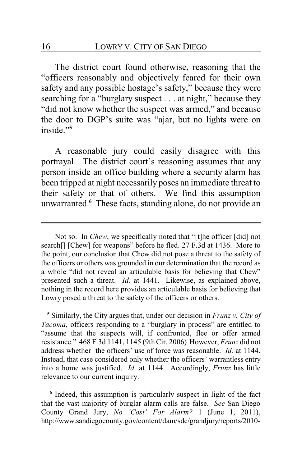The district court found otherwise, reasoning that the "officers reasonably and objectively feared for their own safety and any possible hostage's safety," because they were searching for a "burglary suspect . . . at night," because they "did not know whether the suspect was armed," and because the door to DGP's suite was "ajar, but no lights were on inside<sup>"5</sup>

A reasonable jury could easily disagree with this portrayal. The district court's reasoning assumes that any person inside an office building where a security alarm has been tripped at night necessarily poses an immediate threat to their safety or that of others. We find this assumption unwarranted.**<sup>6</sup>** These facts, standing alone, do not provide an

**5** Similarly, the City argues that, under our decision in *Frunz v. City of Tacoma*, officers responding to a "burglary in process" are entitled to "assume that the suspects will, if confronted, flee or offer armed resistance." 468 F.3d 1141, 1145 (9thCir. 2006) However, *Frunz* did not address whether the officers' use of force was reasonable. *Id.* at 1144. Instead, that case considered only whether the officers' warrantless entry into a home was justified. *Id.* at 1144. Accordingly, *Frunz* has little relevance to our current inquiry.

**6** Indeed, this assumption is particularly suspect in light of the fact that the vast majority of burglar alarm calls are false. *See* San Diego County Grand Jury, *No 'Cost' For Alarm?* 1 (June 1, 2011), http://www.sandiegocounty.gov/content/dam/sdc/grandjury/reports/2010-

Not so. In *Chew*, we specifically noted that "[t]he officer [did] not search<sup>[]</sup> [Chew] for weapons" before he fled. 27 F.3d at 1436. More to the point, our conclusion that Chew did not pose a threat to the safety of the officers or others was grounded in our determination that the record as a whole "did not reveal an articulable basis for believing that Chew" presented such a threat. *Id.* at 1441. Likewise, as explained above, nothing in the record here provides an articulable basis for believing that Lowry posed a threat to the safety of the officers or others.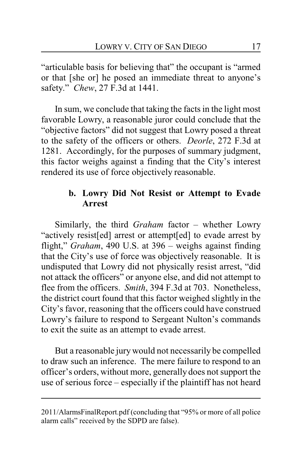"articulable basis for believing that" the occupant is "armed or that [she or] he posed an immediate threat to anyone's safety." *Chew*, 27 F.3d at 1441.

In sum, we conclude that taking the facts in the light most favorable Lowry, a reasonable juror could conclude that the "objective factors" did not suggest that Lowry posed a threat to the safety of the officers or others. *Deorle*, 272 F.3d at 1281. Accordingly, for the purposes of summary judgment, this factor weighs against a finding that the City's interest rendered its use of force objectively reasonable.

# **b. Lowry Did Not Resist or Attempt to Evade Arrest**

Similarly, the third *Graham* factor – whether Lowry "actively resist[ed] arrest or attempt[ed] to evade arrest by flight," *Graham*, 490 U.S. at 396 – weighs against finding that the City's use of force was objectively reasonable. It is undisputed that Lowry did not physically resist arrest, "did not attack the officers" or anyone else, and did not attempt to flee from the officers. *Smith*, 394 F.3d at 703. Nonetheless, the district court found that this factor weighed slightly in the City's favor, reasoning that the officers could have construed Lowry's failure to respond to Sergeant Nulton's commands to exit the suite as an attempt to evade arrest.

But a reasonable jury would not necessarily be compelled to draw such an inference. The mere failure to respond to an officer's orders, without more, generally does not support the use of serious force – especially if the plaintiff has not heard

<sup>2011/</sup>AlarmsFinalReport.pdf (concluding that "95% or more of all police alarm calls" received by the SDPD are false).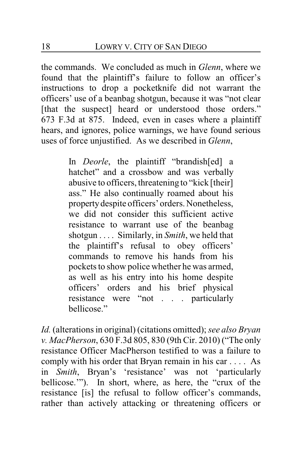the commands. We concluded as much in *Glenn*, where we found that the plaintiff's failure to follow an officer's instructions to drop a pocketknife did not warrant the officers' use of a beanbag shotgun, because it was "not clear [that the suspect] heard or understood those orders." 673 F.3d at 875. Indeed, even in cases where a plaintiff hears, and ignores, police warnings, we have found serious uses of force unjustified. As we described in *Glenn*,

> In *Deorle*, the plaintiff "brandish[ed] a hatchet" and a crossbow and was verbally abusive to officers, threatening to "kick [their] ass." He also continually roamed about his propertydespite officers' orders. Nonetheless, we did not consider this sufficient active resistance to warrant use of the beanbag shotgun . . . . Similarly, in *Smith*, we held that the plaintiff's refusal to obey officers' commands to remove his hands from his pockets to show police whether he was armed, as well as his entry into his home despite officers' orders and his brief physical resistance were "not . . . particularly bellicose."

*Id.* (alterations in original) (citations omitted); *see also Bryan v. MacPherson*, 630 F.3d 805, 830 (9th Cir. 2010) ("The only resistance Officer MacPherson testified to was a failure to comply with his order that Bryan remain in his car . . . . As in *Smith*, Bryan's 'resistance' was not 'particularly bellicose.'"). In short, where, as here, the "crux of the resistance [is] the refusal to follow officer's commands, rather than actively attacking or threatening officers or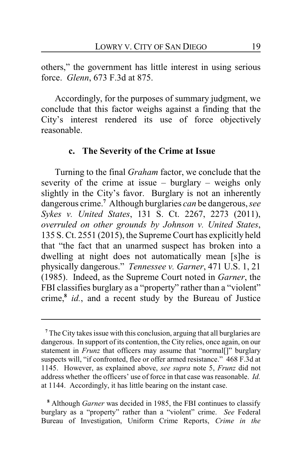others," the government has little interest in using serious force. *Glenn*, 673 F.3d at 875.

Accordingly, for the purposes of summary judgment, we conclude that this factor weighs against a finding that the City's interest rendered its use of force objectively reasonable.

#### **c. The Severity of the Crime at Issue**

Turning to the final *Graham* factor, we conclude that the severity of the crime at issue – burglary – weighs only slightly in the City's favor. Burglary is not an inherently dangerous crime.**<sup>7</sup>** Although burglaries *can* be dangerous, *see Sykes v. United States*, 131 S. Ct. 2267, 2273 (2011), *overruled on other grounds by Johnson v. United States*, 135 S. Ct. 2551 (2015), the Supreme Court has explicitly held that "the fact that an unarmed suspect has broken into a dwelling at night does not automatically mean [s]he is physically dangerous." *Tennessee v. Garner*, 471 U.S. 1, 21 (1985). Indeed, as the Supreme Court noted in *Garner*, the FBI classifies burglary as a "property" rather than a "violent" crime,**<sup>8</sup>** *id.*, and a recent study by the Bureau of Justice

**<sup>7</sup>** The City takes issue with this conclusion, arguing that all burglaries are dangerous. In support of its contention, the City relies, once again, on our statement in *Frunz* that officers may assume that "normal[]" burglary suspects will, "if confronted, flee or offer armed resistance." 468 F.3d at 1145. However, as explained above, *see supra* note 5, *Frunz* did not address whether the officers' use of force in that case was reasonable. *Id.* at 1144. Accordingly, it has little bearing on the instant case.

**<sup>8</sup>** Although *Garner* was decided in 1985, the FBI continues to classify burglary as a "property" rather than a "violent" crime. *See* Federal Bureau of Investigation, Uniform Crime Reports, *Crime in the*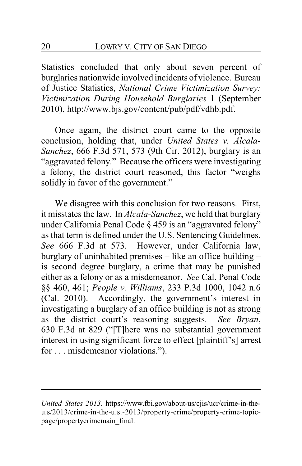Statistics concluded that only about seven percent of burglaries nationwide involved incidents of violence. Bureau of Justice Statistics, *National Crime Victimization Survey: Victimization During Household Burglaries* 1 (September 2010), http://www.bjs.gov/content/pub/pdf/vdhb.pdf.

Once again, the district court came to the opposite conclusion, holding that, under *United States v. Alcala-Sanchez*, 666 F.3d 571, 573 (9th Cir. 2012), burglary is an "aggravated felony." Because the officers were investigating a felony, the district court reasoned, this factor "weighs solidly in favor of the government."

We disagree with this conclusion for two reasons. First, it misstates the law. In *Alcala-Sanchez*, we held that burglary under California Penal Code § 459 is an "aggravated felony" as that term is defined under the U.S. Sentencing Guidelines. *See* 666 F.3d at 573. However, under California law, burglary of uninhabited premises – like an office building – is second degree burglary, a crime that may be punished either as a felony or as a misdemeanor. *See* Cal. Penal Code §§ 460, 461; *People v. Williams*, 233 P.3d 1000, 1042 n.6 (Cal. 2010). Accordingly, the government's interest in investigating a burglary of an office building is not as strong as the district court's reasoning suggests. *See Bryan*, 630 F.3d at 829 ("[T]here was no substantial government interest in using significant force to effect [plaintiff's] arrest for . . . misdemeanor violations.").

*United States 2013*, https://www.fbi.gov/about-us/cjis/ucr/crime-in-theu.s/2013/crime-in-the-u.s.-2013/property-crime/property-crime-topicpage/propertycrimemain\_final.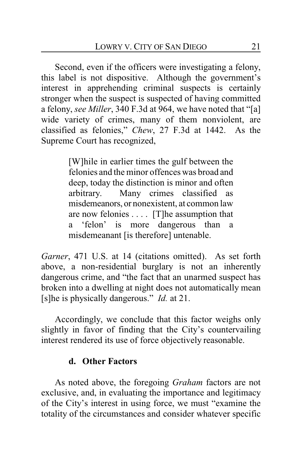Second, even if the officers were investigating a felony, this label is not dispositive. Although the government's interest in apprehending criminal suspects is certainly stronger when the suspect is suspected of having committed a felony, *see Miller*, 340 F.3d at 964, we have noted that "[a] wide variety of crimes, many of them nonviolent, are classified as felonies," *Chew*, 27 F.3d at 1442. As the Supreme Court has recognized,

> [W]hile in earlier times the gulf between the felonies and the minor offences was broad and deep, today the distinction is minor and often arbitrary. Many crimes classified as misdemeanors, or nonexistent, at common law are now felonies . . . . [T]he assumption that a 'felon' is more dangerous than a misdemeanant [is therefore] untenable.

*Garner*, 471 U.S. at 14 (citations omitted). As set forth above, a non-residential burglary is not an inherently dangerous crime, and "the fact that an unarmed suspect has broken into a dwelling at night does not automatically mean [s]he is physically dangerous." *Id.* at 21.

Accordingly, we conclude that this factor weighs only slightly in favor of finding that the City's countervailing interest rendered its use of force objectively reasonable.

### **d. Other Factors**

As noted above, the foregoing *Graham* factors are not exclusive, and, in evaluating the importance and legitimacy of the City's interest in using force, we must "examine the totality of the circumstances and consider whatever specific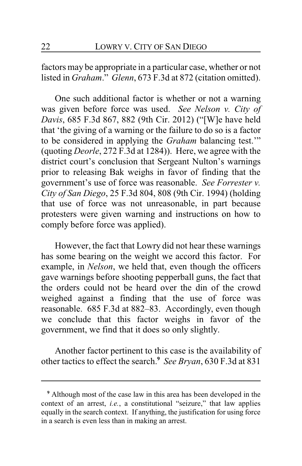factors may be appropriate in a particular case, whether or not listed in *Graham*." *Glenn*, 673 F.3d at 872 (citation omitted).

One such additional factor is whether or not a warning was given before force was used. *See Nelson v. City of Davis*, 685 F.3d 867, 882 (9th Cir. 2012) ("[W]e have held that 'the giving of a warning or the failure to do so is a factor to be considered in applying the *Graham* balancing test.'" (quoting *Deorle*, 272 F.3d at 1284)). Here, we agree with the district court's conclusion that Sergeant Nulton's warnings prior to releasing Bak weighs in favor of finding that the government's use of force was reasonable. *See Forrester v. City of San Diego*, 25 F.3d 804, 808 (9th Cir. 1994) (holding that use of force was not unreasonable, in part because protesters were given warning and instructions on how to comply before force was applied).

However, the fact that Lowry did not hear these warnings has some bearing on the weight we accord this factor. For example, in *Nelson*, we held that, even though the officers gave warnings before shooting pepperball guns, the fact that the orders could not be heard over the din of the crowd weighed against a finding that the use of force was reasonable. 685 F.3d at 882–83. Accordingly, even though we conclude that this factor weighs in favor of the government, we find that it does so only slightly.

Another factor pertinent to this case is the availability of other tactics to effect the search.**<sup>9</sup>** *See Bryan*, 630 F.3d at 831

**<sup>9</sup>** Although most of the case law in this area has been developed in the context of an arrest, *i.e.*, a constitutional "seizure," that law applies equally in the search context. If anything, the justification for using force in a search is even less than in making an arrest.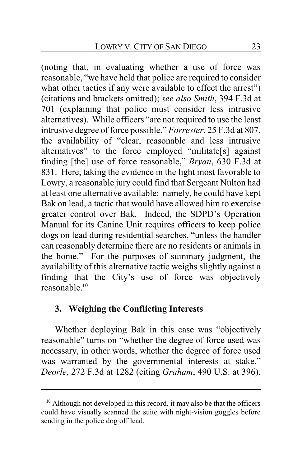(noting that, in evaluating whether a use of force was reasonable, "we have held that police are required to consider what other tactics if any were available to effect the arrest") (citations and brackets omitted); *see also Smith*, 394 F.3d at 701 (explaining that police must consider less intrusive alternatives). While officers "are not required to use the least intrusive degree of force possible," *Forrester*, 25 F.3d at 807, the availability of "clear, reasonable and less intrusive alternatives" to the force employed "militate[s] against finding [the] use of force reasonable," *Bryan*, 630 F.3d at 831. Here, taking the evidence in the light most favorable to Lowry, a reasonable jury could find that Sergeant Nulton had at least one alternative available: namely, he could have kept Bak on lead, a tactic that would have allowed him to exercise greater control over Bak. Indeed, the SDPD's Operation Manual for its Canine Unit requires officers to keep police dogs on lead during residential searches, "unless the handler can reasonably determine there are no residents or animals in the home." For the purposes of summary judgment, the availability of this alternative tactic weighs slightly against a finding that the City's use of force was objectively reasonable.**<sup>10</sup>**

### **3. Weighing the Conflicting Interests**

Whether deploying Bak in this case was "objectively reasonable" turns on "whether the degree of force used was necessary, in other words, whether the degree of force used was warranted by the governmental interests at stake." *Deorle*, 272 F.3d at 1282 (citing *Graham*, 490 U.S. at 396).

**<sup>10</sup>** Although not developed in this record, it may also be that the officers could have visually scanned the suite with night-vision goggles before sending in the police dog off lead.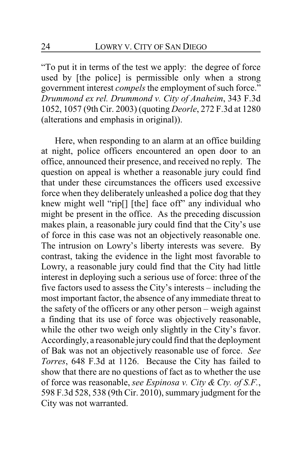"To put it in terms of the test we apply: the degree of force used by [the police] is permissible only when a strong government interest *compels* the employment of such force." *Drummond ex rel. Drummond v. City of Anaheim*, 343 F.3d 1052, 1057 (9th Cir. 2003) (quoting *Deorle*, 272 F.3d at 1280 (alterations and emphasis in original)).

Here, when responding to an alarm at an office building at night, police officers encountered an open door to an office, announced their presence, and received no reply. The question on appeal is whether a reasonable jury could find that under these circumstances the officers used excessive force when they deliberately unleashed a police dog that they knew might well "rip[] [the] face off" any individual who might be present in the office. As the preceding discussion makes plain, a reasonable jury could find that the City's use of force in this case was not an objectively reasonable one. The intrusion on Lowry's liberty interests was severe. By contrast, taking the evidence in the light most favorable to Lowry, a reasonable jury could find that the City had little interest in deploying such a serious use of force: three of the five factors used to assess the City's interests – including the most important factor, the absence of any immediate threat to the safety of the officers or any other person – weigh against a finding that its use of force was objectively reasonable, while the other two weigh only slightly in the City's favor. Accordingly, a reasonable jurycould find that the deployment of Bak was not an objectively reasonable use of force. *See Torres*, 648 F.3d at 1126. Because the City has failed to show that there are no questions of fact as to whether the use of force was reasonable, *see Espinosa v. City & Cty. of S.F.*, 598 F.3d 528, 538 (9th Cir. 2010), summary judgment for the City was not warranted.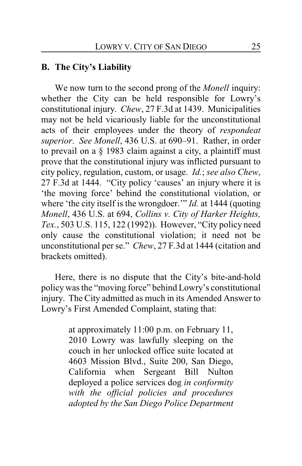### **B. The City's Liability**

We now turn to the second prong of the *Monell* inquiry: whether the City can be held responsible for Lowry's constitutional injury. *Chew*, 27 F.3d at 1439. Municipalities may not be held vicariously liable for the unconstitutional acts of their employees under the theory of *respondeat superior*. *See Monell*, 436 U.S. at 690–91. Rather, in order to prevail on a § 1983 claim against a city, a plaintiff must prove that the constitutional injury was inflicted pursuant to city policy, regulation, custom, or usage. *Id.*; *see also Chew*, 27 F.3d at 1444. "City policy 'causes' an injury where it is 'the moving force' behind the constitutional violation, or where 'the city itself is the wrongdoer.'" *Id.* at 1444 (quoting *Monell*, 436 U.S. at 694, *Collins v. City of Harker Heights, Tex.*, 503 U.S. 115, 122 (1992)). However, "City policy need only cause the constitutional violation; it need not be unconstitutional per se." *Chew*, 27 F.3d at 1444 (citation and brackets omitted).

Here, there is no dispute that the City's bite-and-hold policy was the "moving force" behind Lowry's constitutional injury. The City admitted as much in its Amended Answer to Lowry's First Amended Complaint, stating that:

> at approximately 11:00 p.m. on February 11, 2010 Lowry was lawfully sleeping on the couch in her unlocked office suite located at 4603 Mission Blvd., Suite 200, San Diego, California when Sergeant Bill Nulton deployed a police services dog *in conformity with the official policies and procedures adopted by the San Diego Police Department*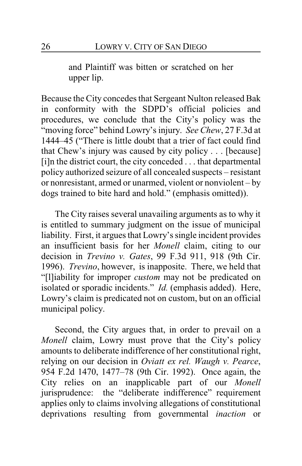and Plaintiff was bitten or scratched on her upper lip.

Because the City concedes that Sergeant Nulton released Bak in conformity with the SDPD's official policies and procedures, we conclude that the City's policy was the "moving force" behind Lowry's injury. *See Chew*, 27 F.3d at 1444–45 ("There is little doubt that a trier of fact could find that Chew's injury was caused by city policy . . . [because] [i]n the district court, the city conceded . . . that departmental policy authorized seizure of all concealed suspects – resistant or nonresistant, armed or unarmed, violent or nonviolent – by dogs trained to bite hard and hold." (emphasis omitted)).

The City raises several unavailing arguments as to why it is entitled to summary judgment on the issue of municipal liability. First, it argues that Lowry's single incident provides an insufficient basis for her *Monell* claim, citing to our decision in *Trevino v. Gates*, 99 F.3d 911, 918 (9th Cir. 1996). *Trevino*, however, is inapposite. There, we held that "[l]iability for improper *custom* may not be predicated on isolated or sporadic incidents." *Id.* (emphasis added). Here, Lowry's claim is predicated not on custom, but on an official municipal policy.

Second, the City argues that, in order to prevail on a *Monell* claim, Lowry must prove that the City's policy amounts to deliberate indifference of her constitutional right, relying on our decision in *Oviatt ex rel. Waugh v. Pearce*, 954 F.2d 1470, 1477–78 (9th Cir. 1992). Once again, the City relies on an inapplicable part of our *Monell* jurisprudence: the "deliberate indifference" requirement applies only to claims involving allegations of constitutional deprivations resulting from governmental *inaction* or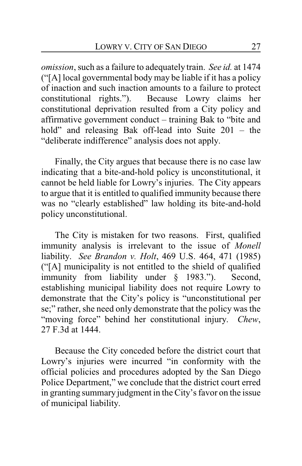*omission*, such as a failure to adequately train. *See id.* at 1474 ("[A] local governmental body may be liable if it has a policy of inaction and such inaction amounts to a failure to protect constitutional rights."). Because Lowry claims her constitutional deprivation resulted from a City policy and affirmative government conduct – training Bak to "bite and hold" and releasing Bak off-lead into Suite 201 – the "deliberate indifference" analysis does not apply.

Finally, the City argues that because there is no case law indicating that a bite-and-hold policy is unconstitutional, it cannot be held liable for Lowry's injuries. The City appears to argue that it is entitled to qualified immunity because there was no "clearly established" law holding its bite-and-hold policy unconstitutional.

The City is mistaken for two reasons. First, qualified immunity analysis is irrelevant to the issue of *Monell* liability. *See Brandon v. Holt*, 469 U.S. 464, 471 (1985) ("[A] municipality is not entitled to the shield of qualified immunity from liability under § 1983."). Second, establishing municipal liability does not require Lowry to demonstrate that the City's policy is "unconstitutional per se;" rather, she need only demonstrate that the policy was the "moving force" behind her constitutional injury. *Chew*, 27 F.3d at 1444.

Because the City conceded before the district court that Lowry's injuries were incurred "in conformity with the official policies and procedures adopted by the San Diego Police Department," we conclude that the district court erred in granting summary judgment in the City's favor on the issue of municipal liability.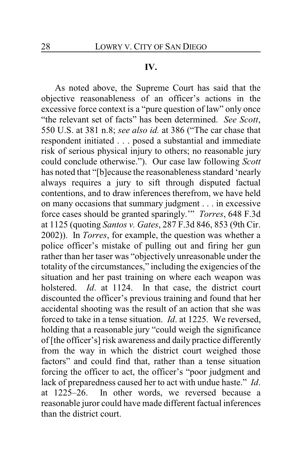#### **IV.**

As noted above, the Supreme Court has said that the objective reasonableness of an officer's actions in the excessive force context is a "pure question of law" only once "the relevant set of facts" has been determined. *See Scott*, 550 U.S. at 381 n.8; *see also id.* at 386 ("The car chase that respondent initiated . . . posed a substantial and immediate risk of serious physical injury to others; no reasonable jury could conclude otherwise."). Our case law following *Scott* has noted that "[b]ecause the reasonableness standard 'nearly always requires a jury to sift through disputed factual contentions, and to draw inferences therefrom, we have held on many occasions that summary judgment . . . in excessive force cases should be granted sparingly.'" *Torres*, 648 F.3d at 1125 (quoting *Santos v. Gates*, 287 F.3d 846, 853 (9th Cir. 2002)). In *Torres*, for example, the question was whether a police officer's mistake of pulling out and firing her gun rather than her taser was "objectively unreasonable under the totality of the circumstances," including the exigencies of the situation and her past training on where each weapon was holstered. *Id*. at 1124. In that case, the district court discounted the officer's previous training and found that her accidental shooting was the result of an action that she was forced to take in a tense situation. *Id*. at 1225. We reversed, holding that a reasonable jury "could weigh the significance of [the officer's] risk awareness and daily practice differently from the way in which the district court weighed those factors" and could find that, rather than a tense situation forcing the officer to act, the officer's "poor judgment and lack of preparedness caused her to act with undue haste." *Id*. at 1225–26. In other words, we reversed because a reasonable juror could have made different factual inferences than the district court.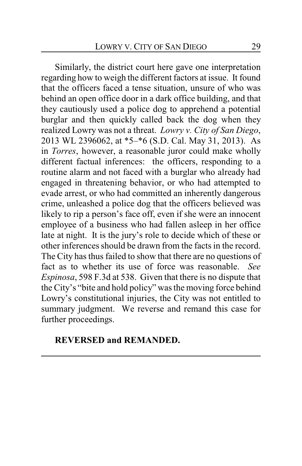Similarly, the district court here gave one interpretation regarding how to weigh the different factors at issue. It found that the officers faced a tense situation, unsure of who was behind an open office door in a dark office building, and that they cautiously used a police dog to apprehend a potential burglar and then quickly called back the dog when they realized Lowry was not a threat. *Lowry v. City of San Diego*, 2013 WL 2396062, at \*5–\*6 (S.D. Cal. May 31, 2013). As in *Torres*, however, a reasonable juror could make wholly different factual inferences: the officers, responding to a routine alarm and not faced with a burglar who already had engaged in threatening behavior, or who had attempted to evade arrest, or who had committed an inherently dangerous crime, unleashed a police dog that the officers believed was likely to rip a person's face off, even if she were an innocent employee of a business who had fallen asleep in her office late at night. It is the jury's role to decide which of these or other inferences should be drawn from the facts in the record. The City has thus failed to show that there are no questions of fact as to whether its use of force was reasonable. *See Espinosa*, 598 F.3d at 538. Given that there is no dispute that the City's "bite and hold policy" was the moving force behind Lowry's constitutional injuries, the City was not entitled to summary judgment. We reverse and remand this case for further proceedings.

### **REVERSED and REMANDED.**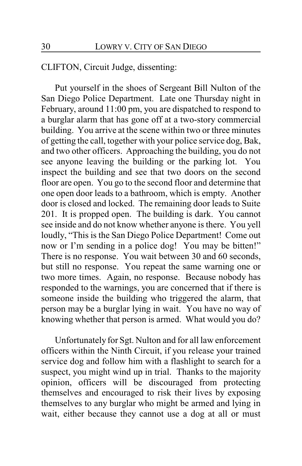### CLIFTON, Circuit Judge, dissenting:

Put yourself in the shoes of Sergeant Bill Nulton of the San Diego Police Department. Late one Thursday night in February, around 11:00 pm, you are dispatched to respond to a burglar alarm that has gone off at a two-story commercial building. You arrive at the scene within two or three minutes of getting the call, together with your police service dog, Bak, and two other officers. Approaching the building, you do not see anyone leaving the building or the parking lot. You inspect the building and see that two doors on the second floor are open. You go to the second floor and determine that one open door leads to a bathroom, which is empty. Another door is closed and locked. The remaining door leads to Suite 201. It is propped open. The building is dark. You cannot see inside and do not know whether anyone is there. You yell loudly, "This is the San Diego Police Department! Come out now or I'm sending in a police dog! You may be bitten!" There is no response. You wait between 30 and 60 seconds, but still no response. You repeat the same warning one or two more times. Again, no response. Because nobody has responded to the warnings, you are concerned that if there is someone inside the building who triggered the alarm, that person may be a burglar lying in wait. You have no way of knowing whether that person is armed. What would you do?

Unfortunately for Sgt. Nulton and for all law enforcement officers within the Ninth Circuit, if you release your trained service dog and follow him with a flashlight to search for a suspect, you might wind up in trial. Thanks to the majority opinion, officers will be discouraged from protecting themselves and encouraged to risk their lives by exposing themselves to any burglar who might be armed and lying in wait, either because they cannot use a dog at all or must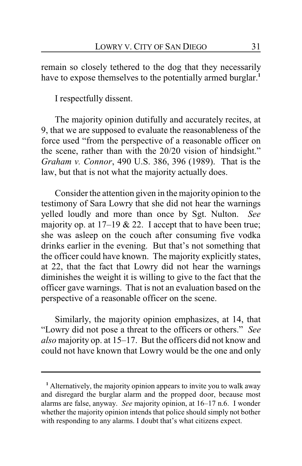remain so closely tethered to the dog that they necessarily have to expose themselves to the potentially armed burglar.<sup>1</sup>

I respectfully dissent.

The majority opinion dutifully and accurately recites, at 9, that we are supposed to evaluate the reasonableness of the force used "from the perspective of a reasonable officer on the scene, rather than with the 20/20 vision of hindsight." *Graham v. Connor*, 490 U.S. 386, 396 (1989). That is the law, but that is not what the majority actually does.

Consider the attention given in the majority opinion to the testimony of Sara Lowry that she did not hear the warnings yelled loudly and more than once by Sgt. Nulton. *See* majority op. at  $17-19$  & 22. I accept that to have been true; she was asleep on the couch after consuming five vodka drinks earlier in the evening. But that's not something that the officer could have known. The majority explicitly states, at 22, that the fact that Lowry did not hear the warnings diminishes the weight it is willing to give to the fact that the officer gave warnings. That is not an evaluation based on the perspective of a reasonable officer on the scene.

Similarly, the majority opinion emphasizes, at 14, that "Lowry did not pose a threat to the officers or others." *See also* majority op. at 15–17. But the officers did not know and could not have known that Lowry would be the one and only

**<sup>1</sup>** Alternatively, the majority opinion appears to invite you to walk away and disregard the burglar alarm and the propped door, because most alarms are false, anyway. *See* majority opinion, at 16–17 n.6. I wonder whether the majority opinion intends that police should simply not bother with responding to any alarms. I doubt that's what citizens expect.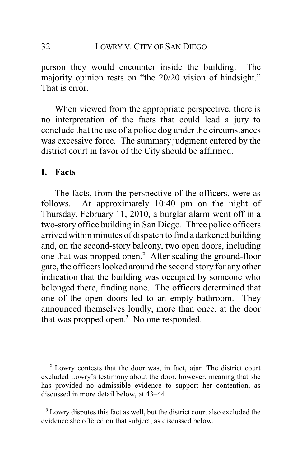person they would encounter inside the building. The majority opinion rests on "the 20/20 vision of hindsight." That is error.

When viewed from the appropriate perspective, there is no interpretation of the facts that could lead a jury to conclude that the use of a police dog under the circumstances was excessive force. The summary judgment entered by the district court in favor of the City should be affirmed.

#### **I. Facts**

The facts, from the perspective of the officers, were as follows. At approximately 10:40 pm on the night of Thursday, February 11, 2010, a burglar alarm went off in a two-story office building in San Diego. Three police officers arrived within minutes of dispatch to find a darkened building and, on the second-story balcony, two open doors, including one that was propped open.**<sup>2</sup>** After scaling the ground-floor gate, the officers looked around the second story for any other indication that the building was occupied by someone who belonged there, finding none. The officers determined that one of the open doors led to an empty bathroom. They announced themselves loudly, more than once, at the door that was propped open.**<sup>3</sup>** No one responded.

**<sup>2</sup>** Lowry contests that the door was, in fact, ajar. The district court excluded Lowry's testimony about the door, however, meaning that she has provided no admissible evidence to support her contention, as discussed in more detail below, at 43–44.

**<sup>3</sup>** Lowry disputes this fact as well, but the district court also excluded the evidence she offered on that subject, as discussed below.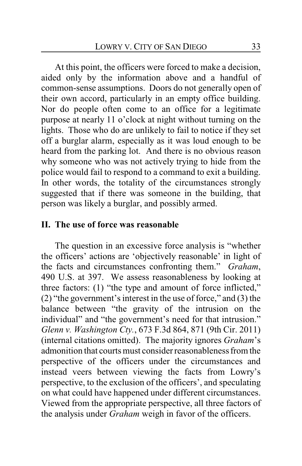At this point, the officers were forced to make a decision, aided only by the information above and a handful of common-sense assumptions. Doors do not generally open of their own accord, particularly in an empty office building. Nor do people often come to an office for a legitimate purpose at nearly 11 o'clock at night without turning on the lights. Those who do are unlikely to fail to notice if they set off a burglar alarm, especially as it was loud enough to be heard from the parking lot. And there is no obvious reason why someone who was not actively trying to hide from the police would fail to respond to a command to exit a building. In other words, the totality of the circumstances strongly suggested that if there was someone in the building, that person was likely a burglar, and possibly armed.

#### **II. The use of force was reasonable**

The question in an excessive force analysis is "whether the officers' actions are 'objectively reasonable' in light of the facts and circumstances confronting them." *Graham*, 490 U.S. at 397. We assess reasonableness by looking at three factors: (1) "the type and amount of force inflicted," (2) "the government's interest in the use of force," and (3) the balance between "the gravity of the intrusion on the individual" and "the government's need for that intrusion." *Glenn v. Washington Cty.*, 673 F.3d 864, 871 (9th Cir. 2011) (internal citations omitted). The majority ignores *Graham*'s admonition that courts must consider reasonableness from the perspective of the officers under the circumstances and instead veers between viewing the facts from Lowry's perspective, to the exclusion of the officers', and speculating on what could have happened under different circumstances. Viewed from the appropriate perspective, all three factors of the analysis under *Graham* weigh in favor of the officers.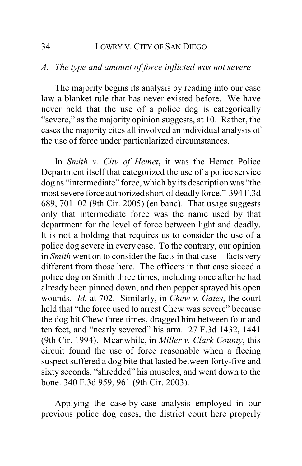### *A. The type and amount of force inflicted was not severe*

The majority begins its analysis by reading into our case law a blanket rule that has never existed before. We have never held that the use of a police dog is categorically "severe," as the majority opinion suggests, at 10. Rather, the cases the majority cites all involved an individual analysis of the use of force under particularized circumstances.

In *Smith v. City of Hemet*, it was the Hemet Police Department itself that categorized the use of a police service dog as "intermediate" force, which by its description was "the most severe force authorized short of deadly force." 394 F.3d 689, 701–02 (9th Cir. 2005) (en banc). That usage suggests only that intermediate force was the name used by that department for the level of force between light and deadly. It is not a holding that requires us to consider the use of a police dog severe in every case. To the contrary, our opinion in *Smith* went on to consider the facts in that case—facts very different from those here. The officers in that case sicced a police dog on Smith three times, including once after he had already been pinned down, and then pepper sprayed his open wounds. *Id.* at 702. Similarly, in *Chew v. Gates*, the court held that "the force used to arrest Chew was severe" because the dog bit Chew three times, dragged him between four and ten feet, and "nearly severed" his arm. 27 F.3d 1432, 1441 (9th Cir. 1994). Meanwhile, in *Miller v. Clark County*, this circuit found the use of force reasonable when a fleeing suspect suffered a dog bite that lasted between forty-five and sixty seconds, "shredded" his muscles, and went down to the bone. 340 F.3d 959, 961 (9th Cir. 2003).

Applying the case-by-case analysis employed in our previous police dog cases, the district court here properly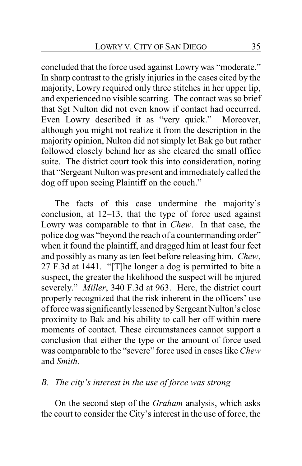concluded that the force used against Lowry was "moderate." In sharp contrast to the grisly injuries in the cases cited by the majority, Lowry required only three stitches in her upper lip, and experienced no visible scarring. The contact was so brief that Sgt Nulton did not even know if contact had occurred. Even Lowry described it as "very quick." Moreover, although you might not realize it from the description in the majority opinion, Nulton did not simply let Bak go but rather followed closely behind her as she cleared the small office suite. The district court took this into consideration, noting that "Sergeant Nulton was present and immediately called the dog off upon seeing Plaintiff on the couch."

The facts of this case undermine the majority's conclusion, at 12–13, that the type of force used against Lowry was comparable to that in *Chew*. In that case, the police dog was "beyond the reach of a countermanding order" when it found the plaintiff, and dragged him at least four feet and possibly as many as ten feet before releasing him. *Chew*, 27 F.3d at 1441. "[T]he longer a dog is permitted to bite a suspect, the greater the likelihood the suspect will be injured severely." *Miller*, 340 F.3d at 963. Here, the district court properly recognized that the risk inherent in the officers' use of force was significantly lessened by Sergeant Nulton's close proximity to Bak and his ability to call her off within mere moments of contact. These circumstances cannot support a conclusion that either the type or the amount of force used was comparable to the "severe" force used in cases like *Chew* and *Smith*.

### *B. The city's interest in the use of force was strong*

On the second step of the *Graham* analysis, which asks the court to consider the City's interest in the use of force, the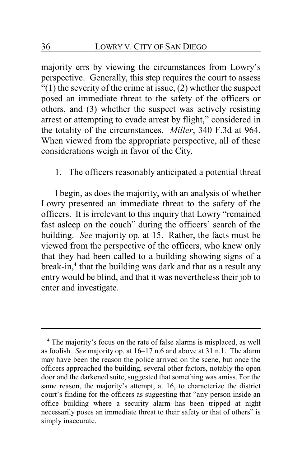majority errs by viewing the circumstances from Lowry's perspective. Generally, this step requires the court to assess  $''(1)$  the severity of the crime at issue, (2) whether the suspect posed an immediate threat to the safety of the officers or others, and (3) whether the suspect was actively resisting arrest or attempting to evade arrest by flight," considered in the totality of the circumstances. *Miller*, 340 F.3d at 964. When viewed from the appropriate perspective, all of these considerations weigh in favor of the City.

1. The officers reasonably anticipated a potential threat

I begin, as does the majority, with an analysis of whether Lowry presented an immediate threat to the safety of the officers. It is irrelevant to this inquiry that Lowry "remained fast asleep on the couch" during the officers' search of the building. *See* majority op. at 15. Rather, the facts must be viewed from the perspective of the officers, who knew only that they had been called to a building showing signs of a break-in,**<sup>4</sup>** that the building was dark and that as a result any entry would be blind, and that it was nevertheless their job to enter and investigate.

**<sup>4</sup>** The majority's focus on the rate of false alarms is misplaced, as well as foolish. *See* majority op. at 16–17 n.6 and above at 31 n.1. The alarm may have been the reason the police arrived on the scene, but once the officers approached the building, several other factors, notably the open door and the darkened suite, suggested that something was amiss. For the same reason, the majority's attempt, at 16, to characterize the district court's finding for the officers as suggesting that "any person inside an office building where a security alarm has been tripped at night necessarily poses an immediate threat to their safety or that of others" is simply inaccurate.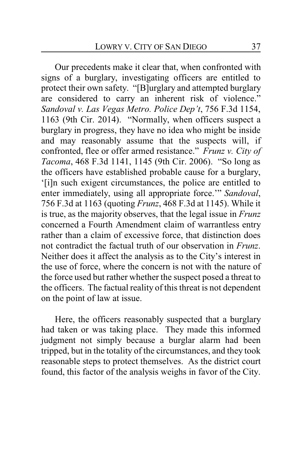Our precedents make it clear that, when confronted with signs of a burglary, investigating officers are entitled to protect their own safety. "[B]urglary and attempted burglary are considered to carry an inherent risk of violence." *Sandoval v. Las Vegas Metro. Police Dep't*, 756 F.3d 1154, 1163 (9th Cir. 2014). "Normally, when officers suspect a burglary in progress, they have no idea who might be inside and may reasonably assume that the suspects will, if confronted, flee or offer armed resistance." *Frunz v. City of Tacoma*, 468 F.3d 1141, 1145 (9th Cir. 2006). "So long as the officers have established probable cause for a burglary, '[i]n such exigent circumstances, the police are entitled to enter immediately, using all appropriate force.'" *Sandoval*, 756 F.3d at 1163 (quoting *Frunz*, 468 F.3d at 1145). While it is true, as the majority observes, that the legal issue in *Frunz* concerned a Fourth Amendment claim of warrantless entry rather than a claim of excessive force, that distinction does not contradict the factual truth of our observation in *Frunz*. Neither does it affect the analysis as to the City's interest in the use of force, where the concern is not with the nature of the force used but rather whether the suspect posed a threat to the officers. The factual reality of this threat is not dependent on the point of law at issue.

Here, the officers reasonably suspected that a burglary had taken or was taking place. They made this informed judgment not simply because a burglar alarm had been tripped, but in the totality of the circumstances, and they took reasonable steps to protect themselves. As the district court found, this factor of the analysis weighs in favor of the City.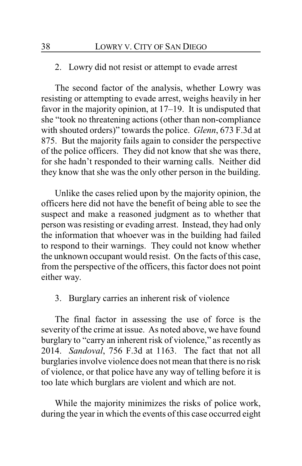#### 2. Lowry did not resist or attempt to evade arrest

The second factor of the analysis, whether Lowry was resisting or attempting to evade arrest, weighs heavily in her favor in the majority opinion, at 17–19. It is undisputed that she "took no threatening actions (other than non-compliance with shouted orders)" towards the police. *Glenn*, 673 F.3d at 875. But the majority fails again to consider the perspective of the police officers. They did not know that she was there, for she hadn't responded to their warning calls. Neither did they know that she was the only other person in the building.

Unlike the cases relied upon by the majority opinion, the officers here did not have the benefit of being able to see the suspect and make a reasoned judgment as to whether that person was resisting or evading arrest. Instead, they had only the information that whoever was in the building had failed to respond to their warnings. They could not know whether the unknown occupant would resist. On the facts of this case, from the perspective of the officers, this factor does not point either way.

3. Burglary carries an inherent risk of violence

The final factor in assessing the use of force is the severity of the crime at issue. As noted above, we have found burglary to "carry an inherent risk of violence," as recently as 2014. *Sandoval*, 756 F.3d at 1163. The fact that not all burglaries involve violence does not mean that there is no risk of violence, or that police have any way of telling before it is too late which burglars are violent and which are not.

While the majority minimizes the risks of police work, during the year in which the events of this case occurred eight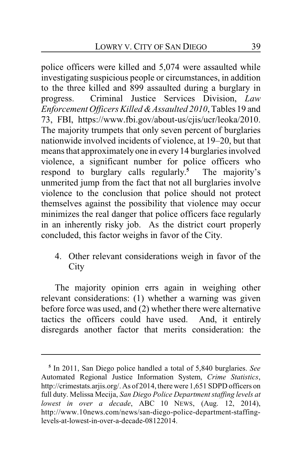police officers were killed and 5,074 were assaulted while investigating suspicious people or circumstances, in addition to the three killed and 899 assaulted during a burglary in progress. Criminal Justice Services Division, *Law Enforcement Officers Killed &Assaulted 2010*, Tables 19 and 73, FBI, https://www.fbi.gov/about-us/cjis/ucr/leoka/2010. The majority trumpets that only seven percent of burglaries nationwide involved incidents of violence, at 19–20, but that means that approximatelyone in every 14 burglaries involved violence, a significant number for police officers who respond to burglary calls regularly. **<sup>5</sup>** The majority's unmerited jump from the fact that not all burglaries involve violence to the conclusion that police should not protect themselves against the possibility that violence may occur minimizes the real danger that police officers face regularly in an inherently risky job. As the district court properly concluded, this factor weighs in favor of the City.

4. Other relevant considerations weigh in favor of the **City** 

The majority opinion errs again in weighing other relevant considerations: (1) whether a warning was given before force was used, and (2) whether there were alternative tactics the officers could have used. And, it entirely disregards another factor that merits consideration: the

**<sup>5</sup>** In 2011, San Diego police handled a total of 5,840 burglaries. *See* Automated Regional Justice Information System, *Crime Statistics*, http://crimestats.arjis.org/. As of 2014, there were 1,651 SDPD officers on full duty. Melissa Mecija, *San Diego Police Department staffing levels at lowest in over a decade*, ABC 10 NEWS, (Aug. 12, 2014), http://www.10news.com/news/san-diego-police-department-staffinglevels-at-lowest-in-over-a-decade-08122014.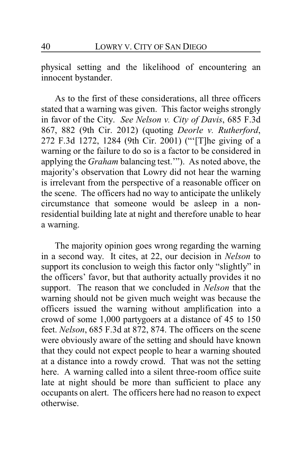physical setting and the likelihood of encountering an innocent bystander.

As to the first of these considerations, all three officers stated that a warning was given. This factor weighs strongly in favor of the City. *See Nelson v. City of Davis*, 685 F.3d 867, 882 (9th Cir. 2012) (quoting *Deorle v. Rutherford*, 272 F.3d 1272, 1284 (9th Cir. 2001) ("'[T]he giving of a warning or the failure to do so is a factor to be considered in applying the *Graham* balancing test.'"). As noted above, the majority's observation that Lowry did not hear the warning is irrelevant from the perspective of a reasonable officer on the scene. The officers had no way to anticipate the unlikely circumstance that someone would be asleep in a nonresidential building late at night and therefore unable to hear a warning.

The majority opinion goes wrong regarding the warning in a second way. It cites, at 22, our decision in *Nelson* to support its conclusion to weigh this factor only "slightly" in the officers' favor, but that authority actually provides it no support. The reason that we concluded in *Nelson* that the warning should not be given much weight was because the officers issued the warning without amplification into a crowd of some 1,000 partygoers at a distance of 45 to 150 feet. *Nelson*, 685 F.3d at 872, 874. The officers on the scene were obviously aware of the setting and should have known that they could not expect people to hear a warning shouted at a distance into a rowdy crowd. That was not the setting here. A warning called into a silent three-room office suite late at night should be more than sufficient to place any occupants on alert. The officers here had no reason to expect otherwise.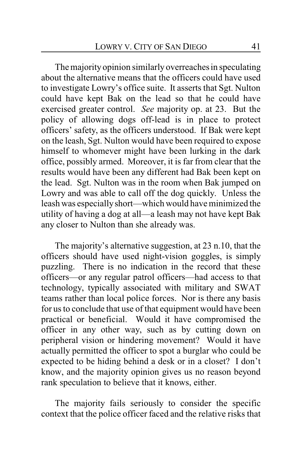The majority opinion similarly overreaches in speculating about the alternative means that the officers could have used to investigate Lowry's office suite. It asserts that Sgt. Nulton could have kept Bak on the lead so that he could have exercised greater control. *See* majority op. at 23. But the policy of allowing dogs off-lead is in place to protect officers' safety, as the officers understood. If Bak were kept on the leash, Sgt. Nulton would have been required to expose himself to whomever might have been lurking in the dark office, possibly armed. Moreover, it is far from clear that the results would have been any different had Bak been kept on the lead. Sgt. Nulton was in the room when Bak jumped on Lowry and was able to call off the dog quickly. Unless the leash was especiallyshort—which would have minimized the utility of having a dog at all—a leash may not have kept Bak any closer to Nulton than she already was.

The majority's alternative suggestion, at 23 n.10, that the officers should have used night-vision goggles, is simply puzzling. There is no indication in the record that these officers—or any regular patrol officers—had access to that technology, typically associated with military and SWAT teams rather than local police forces. Nor is there any basis for us to conclude that use of that equipment would have been practical or beneficial. Would it have compromised the officer in any other way, such as by cutting down on peripheral vision or hindering movement? Would it have actually permitted the officer to spot a burglar who could be expected to be hiding behind a desk or in a closet? I don't know, and the majority opinion gives us no reason beyond rank speculation to believe that it knows, either.

The majority fails seriously to consider the specific context that the police officer faced and the relative risks that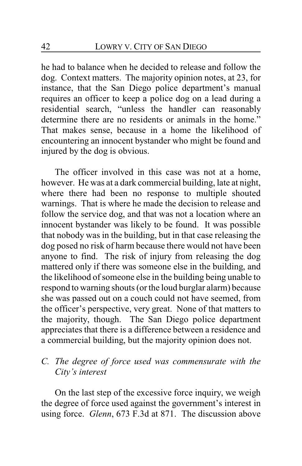he had to balance when he decided to release and follow the dog. Context matters. The majority opinion notes, at 23, for instance, that the San Diego police department's manual requires an officer to keep a police dog on a lead during a residential search, "unless the handler can reasonably determine there are no residents or animals in the home." That makes sense, because in a home the likelihood of encountering an innocent bystander who might be found and injured by the dog is obvious.

The officer involved in this case was not at a home, however. He was at a dark commercial building, late at night, where there had been no response to multiple shouted warnings. That is where he made the decision to release and follow the service dog, and that was not a location where an innocent bystander was likely to be found. It was possible that nobody was in the building, but in that case releasing the dog posed no risk of harm because there would not have been anyone to find. The risk of injury from releasing the dog mattered only if there was someone else in the building, and the likelihood of someone else in the building being unable to respond to warning shouts (or the loud burglar alarm) because she was passed out on a couch could not have seemed, from the officer's perspective, very great. None of that matters to the majority, though. The San Diego police department appreciates that there is a difference between a residence and a commercial building, but the majority opinion does not.

## *C. The degree of force used was commensurate with the City's interest*

On the last step of the excessive force inquiry, we weigh the degree of force used against the government's interest in using force. *Glenn*, 673 F.3d at 871. The discussion above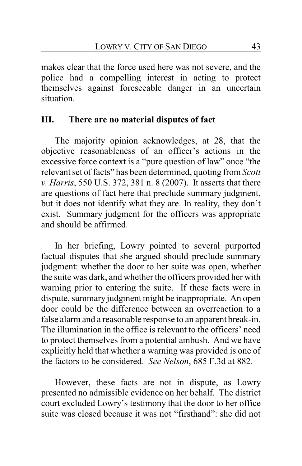makes clear that the force used here was not severe, and the police had a compelling interest in acting to protect themselves against foreseeable danger in an uncertain situation.

### **III. There are no material disputes of fact**

The majority opinion acknowledges, at 28, that the objective reasonableness of an officer's actions in the excessive force context is a "pure question of law" once "the relevant set of facts" has been determined, quoting from *Scott v. Harris*, 550 U.S. 372, 381 n. 8 (2007). It asserts that there are questions of fact here that preclude summary judgment, but it does not identify what they are. In reality, they don't exist. Summary judgment for the officers was appropriate and should be affirmed.

In her briefing, Lowry pointed to several purported factual disputes that she argued should preclude summary judgment: whether the door to her suite was open, whether the suite was dark, and whether the officers provided her with warning prior to entering the suite. If these facts were in dispute, summary judgment might be inappropriate. An open door could be the difference between an overreaction to a false alarm and a reasonable response to an apparent break-in. The illumination in the office is relevant to the officers' need to protect themselves from a potential ambush. And we have explicitly held that whether a warning was provided is one of the factors to be considered. *See Nelson*, 685 F.3d at 882.

However, these facts are not in dispute, as Lowry presented no admissible evidence on her behalf. The district court excluded Lowry's testimony that the door to her office suite was closed because it was not "firsthand": she did not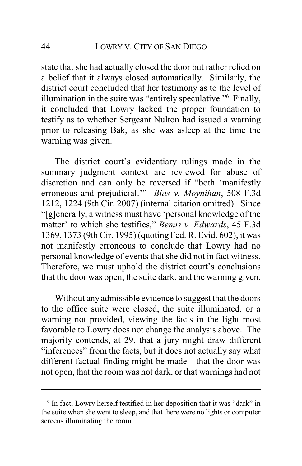state that she had actually closed the door but rather relied on a belief that it always closed automatically. Similarly, the district court concluded that her testimony as to the level of illumination in the suite was "entirely speculative."**<sup>6</sup>** Finally, it concluded that Lowry lacked the proper foundation to testify as to whether Sergeant Nulton had issued a warning prior to releasing Bak, as she was asleep at the time the warning was given.

The district court's evidentiary rulings made in the summary judgment context are reviewed for abuse of discretion and can only be reversed if "both 'manifestly erroneous and prejudicial.'" *Bias v. Moynihan*, 508 F.3d 1212, 1224 (9th Cir. 2007) (internal citation omitted). Since "[g]enerally, a witness must have 'personal knowledge of the matter' to which she testifies," *Bemis v. Edwards*, 45 F.3d 1369, 1373 (9th Cir. 1995) (quoting Fed. R. Evid. 602), it was not manifestly erroneous to conclude that Lowry had no personal knowledge of events that she did not in fact witness. Therefore, we must uphold the district court's conclusions that the door was open, the suite dark, and the warning given.

Without any admissible evidence to suggest that the doors to the office suite were closed, the suite illuminated, or a warning not provided, viewing the facts in the light most favorable to Lowry does not change the analysis above. The majority contends, at 29, that a jury might draw different "inferences" from the facts, but it does not actually say what different factual finding might be made—that the door was not open, that the room was not dark, or that warnings had not

<sup>&</sup>lt;sup>6</sup> In fact, Lowry herself testified in her deposition that it was "dark" in the suite when she went to sleep, and that there were no lights or computer screens illuminating the room.